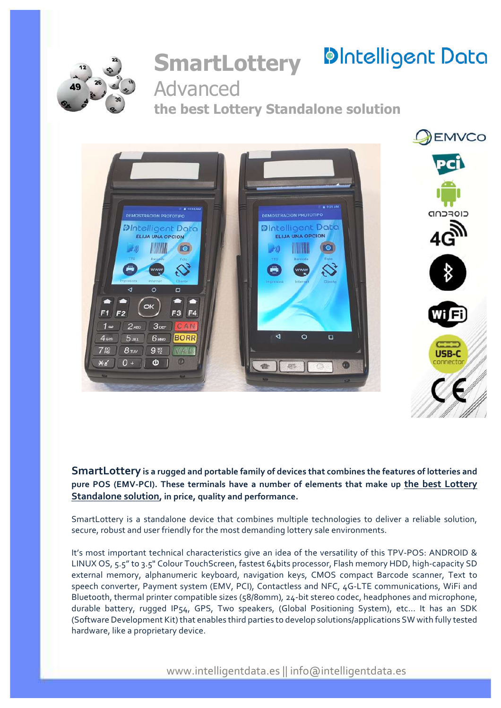

# **SmartLottery** Advanced

# **DIntelligent Data**

**the best Lottery Standalone solution**



**SmartLottery is a rugged and portable family of devices that combines the features of lotteries and pure POS (EMV-PCI). These terminals have a number of elements that make up the best Lottery Standalone solution, in price, quality and performance.**

SmartLottery is a standalone device that combines multiple technologies to deliver a reliable solution, secure, robust and user friendly for the most demanding lottery sale environments.

It's most important technical characteristics give an idea of the versatility of this TPV-POS: ANDROID & LINUX OS, 5.5" to 3.5" Colour TouchScreen, fastest 64bits processor, Flash memory HDD, high-capacity SD external memory, alphanumeric keyboard, navigation keys, CMOS compact Barcode scanner, Text to speech converter, Payment system (EMV, PCI), Contactless and NFC, 4G-LTE communications, WiFi and Bluetooth, thermal printer compatible sizes (58/80mm)*,* 24-bit stereo codec, headphones and microphone, durable battery, rugged IP54, GPS, Two speakers, (Global Positioning System), etc... It has an SDK (Software Development Kit) that enables third parties to develop solutions/applications SW with fully tested hardware, like a proprietary device.

www.intelligentdata.es || info@intelligentdata.es